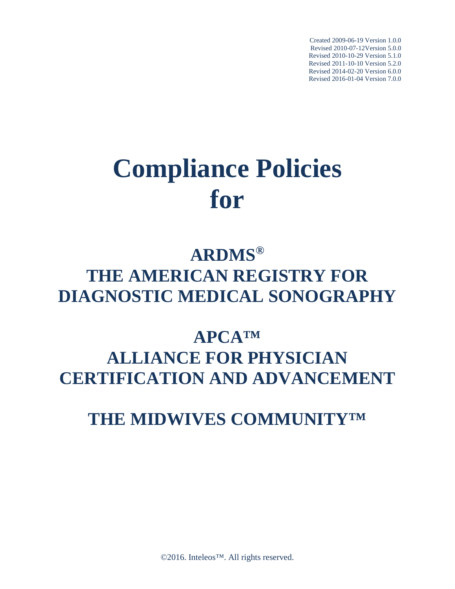Created 2009-06-19 Version 1.0.0 Revised 2010-07-12Version 5.0.0 Revised 2010-10-29 Version 5.1.0 Revised 2011-10-10 Version 5.2.0 Revised 2014-02-20 Version 6.0.0 Revised 2016-01-04 Version 7.0.0

# **Compliance Policies for**

# **ARDMS® THE AMERICAN REGISTRY FOR DIAGNOSTIC MEDICAL SONOGRAPHY**

# **APCA™ ALLIANCE FOR PHYSICIAN CERTIFICATION AND ADVANCEMENT**

## **THE MIDWIVES COMMUNITY™**

©2016. Inteleos<sup>™</sup>. All rights reserved.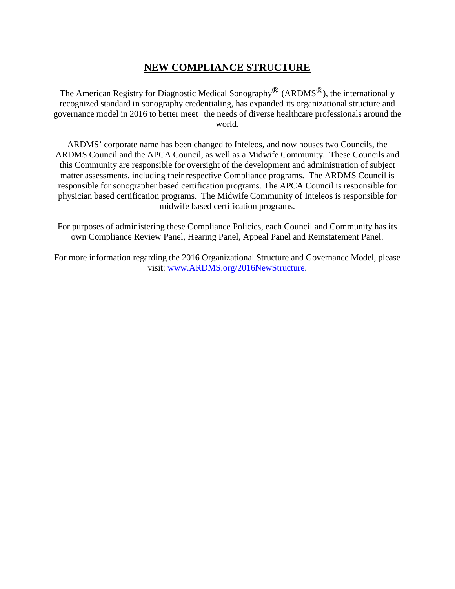### **NEW COMPLIANCE STRUCTURE**

The American Registry for Diagnostic Medical Sonography<sup>®</sup> (ARDMS<sup>®</sup>), the internationally recognized standard in sonography credentialing, has expanded its organizational structure and governance model in 2016 to better meet the needs of diverse healthcare professionals around the world.

ARDMS' corporate name has been changed to Inteleos, and now houses two Councils, the ARDMS Council and the APCA Council, as well as a Midwife Community. These Councils and this Community are responsible for oversight of the development and administration of subject matter assessments, including their respective Compliance programs. The ARDMS Council is responsible for sonographer based certification programs. The APCA Council is responsible for physician based certification programs. The Midwife Community of Inteleos is responsible for midwife based certification programs.

For purposes of administering these Compliance Policies, each Council and Community has its own Compliance Review Panel, Hearing Panel, Appeal Panel and Reinstatement Panel.

For more information regarding the 2016 Organizational Structure and Governance Model, please visit: [www.ARDMS.org/2016NewStructure.](http://www.ardms.org/2016NewStructure)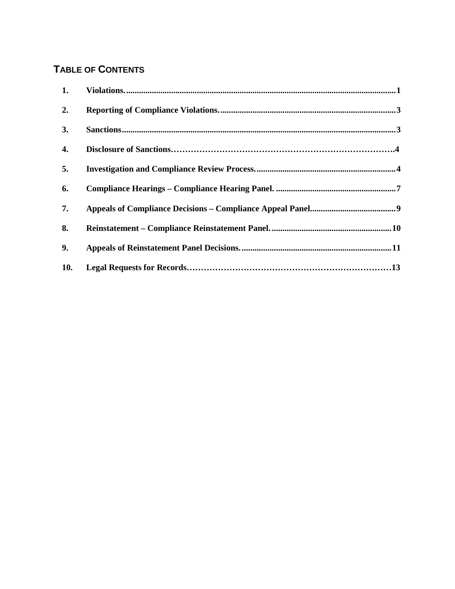### **TABLE OF CONTENTS**

| 1.  |  |
|-----|--|
| 2.  |  |
| 3.  |  |
| 4.  |  |
| 5.  |  |
| 6.  |  |
| 7.  |  |
| 8.  |  |
| 9.  |  |
| 10. |  |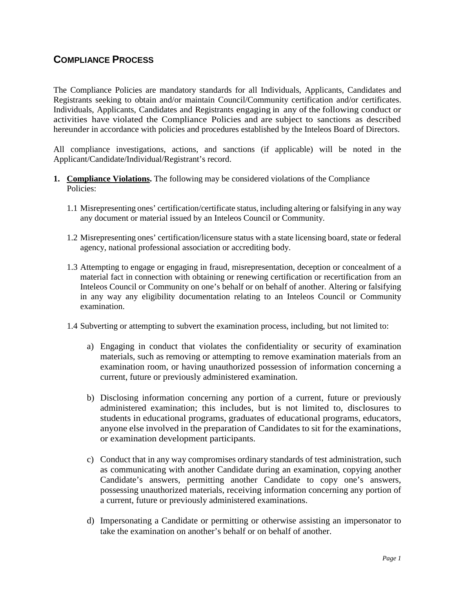### **COMPLIANCE PROCESS**

The Compliance Policies are mandatory standards for all Individuals, Applicants, Candidates and Registrants seeking to obtain and/or maintain Council/Community certification and/or certificates. Individuals, Applicants, Candidates and Registrants engaging in any of the following conduct or activities have violated the Compliance Policies and are subject to sanctions as described hereunder in accordance with policies and procedures established by the Inteleos Board of Directors.

All compliance investigations, actions, and sanctions (if applicable) will be noted in the Applicant/Candidate/Individual/Registrant's record.

- <span id="page-3-0"></span>**1. Compliance Violations.** The following may be considered violations of the Compliance Policies:
	- 1.1 Misrepresenting ones' certification/certificate status, including altering or falsifying in any way any document or material issued by an Inteleos Council or Community.
	- 1.2 Misrepresenting ones' certification/licensure status with a state licensing board, state or federal agency, national professional association or accrediting body.
	- 1.3 Attempting to engage or engaging in fraud, misrepresentation, deception or concealment of a material fact in connection with obtaining or renewing certification or recertification from an Inteleos Council or Community on one's behalf or on behalf of another. Altering or falsifying in any way any eligibility documentation relating to an Inteleos Council or Community examination.
	- 1.4 Subverting or attempting to subvert the examination process, including, but not limited to:
		- a) Engaging in conduct that violates the confidentiality or security of examination materials, such as removing or attempting to remove examination materials from an examination room, or having unauthorized possession of information concerning a current, future or previously administered examination.
		- b) Disclosing information concerning any portion of a current, future or previously administered examination; this includes, but is not limited to, disclosures to students in educational programs, graduates of educational programs, educators, anyone else involved in the preparation of Candidates to sit for the examinations, or examination development participants.
		- c) Conduct that in any way compromises ordinary standards of test administration, such as communicating with another Candidate during an examination, copying another Candidate's answers, permitting another Candidate to copy one's answers, possessing unauthorized materials, receiving information concerning any portion of a current, future or previously administered examinations.
		- d) Impersonating a Candidate or permitting or otherwise assisting an impersonator to take the examination on another's behalf or on behalf of another.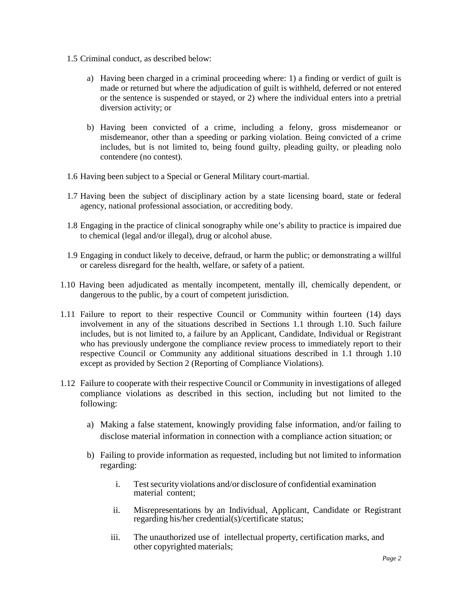- 1.5 Criminal conduct, as described below:
	- a) Having been charged in a criminal proceeding where: 1) a finding or verdict of guilt is made or returned but where the adjudication of guilt is withheld, deferred or not entered or the sentence is suspended or stayed, or 2) where the individual enters into a pretrial diversion activity; or
	- b) Having been convicted of a crime, including a felony, gross misdemeanor or misdemeanor, other than a speeding or parking violation. Being convicted of a crime includes, but is not limited to, being found guilty, pleading guilty, or pleading nolo contendere (no contest).
- 1.6 Having been subject to a Special or General Military court-martial.
- 1.7 Having been the subject of disciplinary action by a state licensing board, state or federal agency, national professional association, or accrediting body.
- 1.8 Engaging in the practice of clinical sonography while one's ability to practice is impaired due to chemical (legal and/or illegal), drug or alcohol abuse.
- 1.9 Engaging in conduct likely to deceive, defraud, or harm the public; or demonstrating a willful or careless disregard for the health, welfare, or safety of a patient.
- 1.10 Having been adjudicated as mentally incompetent, mentally ill, chemically dependent, or dangerous to the public, by a court of competent jurisdiction.
- 1.11 Failure to report to their respective Council or Community within fourteen (14) days involvement in any of the situations described in Sections 1.1 through 1.10. Such failure includes, but is not limited to, a failure by an Applicant, Candidate, Individual or Registrant who has previously undergone the compliance review process to immediately report to their respective Council or Community any additional situations described in 1.1 through 1.10 except as provided by Section 2 (Reporting of Compliance Violations).
- 1.12 Failure to cooperate with their respective Council or Community in investigations of alleged compliance violations as described in this section, including but not limited to the following:
	- a) Making a false statement, knowingly providing false information, and/or failing to disclose material information in connection with a compliance action situation; or
	- b) Failing to provide information as requested, including but not limited to information regarding:
		- i. Test security violations and/or disclosure of confidential examination material content;
		- ii. Misrepresentations by an Individual, Applicant, Candidate or Registrant regarding his/her credential(s)/certificate status;
		- iii. The unauthorized use of intellectual property, certification marks, and other copyrighted materials;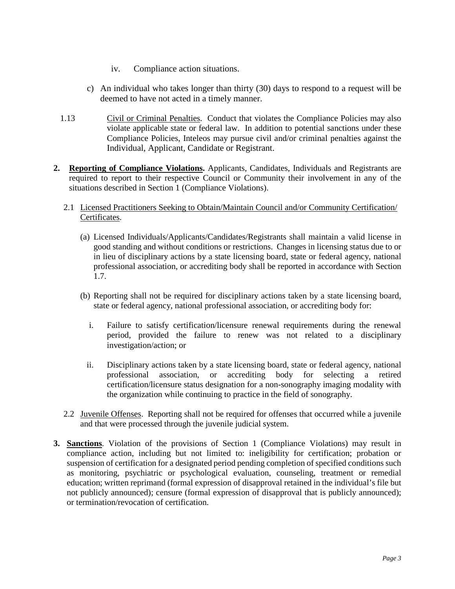- iv. Compliance action situations.
- c) An individual who takes longer than thirty (30) days to respond to a request will be deemed to have not acted in a timely manner.
- 1.13 Civil or Criminal Penalties. Conduct that violates the Compliance Policies may also violate applicable state or federal law. In addition to potential sanctions under these Compliance Policies, Inteleos may pursue civil and/or criminal penalties against the Individual, Applicant, Candidate or Registrant.
- <span id="page-5-0"></span>**2. Reporting of Compliance Violations.** Applicants, Candidates, Individuals and Registrants are required to report to their respective Council or Community their involvement in any of the situations described in Section 1 (Compliance Violations).
	- 2.1 Licensed Practitioners Seeking to Obtain/Maintain Council and/or Community Certification/ Certificates.
		- (a) Licensed Individuals/Applicants/Candidates/Registrants shall maintain a valid license in good standing and without conditions or restrictions. Changes in licensing status due to or in lieu of disciplinary actions by a state licensing board, state or federal agency, national professional association, or accrediting body shall be reported in accordance with Section 1.7.
		- (b) Reporting shall not be required for disciplinary actions taken by a state licensing board, state or federal agency, national professional association, or accrediting body for:
			- i. Failure to satisfy certification/licensure renewal requirements during the renewal period, provided the failure to renew was not related to a disciplinary investigation/action; or
			- ii. Disciplinary actions taken by a state licensing board, state or federal agency, national professional association, or accrediting body for selecting a retired certification/licensure status designation for a non-sonography imaging modality with the organization while continuing to practice in the field of sonography.
	- 2.2 Juvenile Offenses. Reporting shall not be required for offenses that occurred while a juvenile and that were processed through the juvenile judicial system.
- <span id="page-5-1"></span>**3. Sanctions**. Violation of the provisions of Section 1 (Compliance Violations) may result in compliance action, including but not limited to: ineligibility for certification; probation or suspension of certification for a designated period pending completion of specified conditions such as monitoring, psychiatric or psychological evaluation, counseling, treatment or remedial education; written reprimand (formal expression of disapproval retained in the individual's file but not publicly announced); censure (formal expression of disapproval that is publicly announced); or termination/revocation of certification.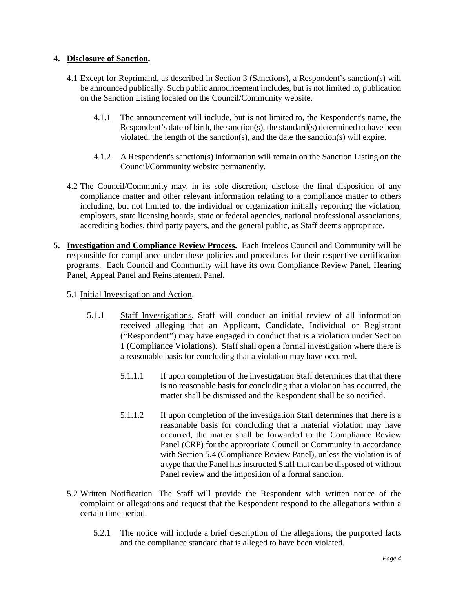#### **4. Disclosure of Sanction.**

- 4.1 Except for Reprimand, as described in Section 3 (Sanctions), a Respondent's sanction(s) will be announced publically. Such public announcement includes, but is not limited to, publication on the Sanction Listing located on the Council/Community website.
	- 4.1.1 The announcement will include, but is not limited to, the Respondent's name, the Respondent's date of birth, the sanction(s), the standard(s) determined to have been violated, the length of the sanction(s), and the date the sanction(s) will expire.
	- 4.1.2 A Respondent's sanction(s) information will remain on the Sanction Listing on the Council/Community website permanently.
- 4.2 The Council/Community may, in its sole discretion, disclose the final disposition of any compliance matter and other relevant information relating to a compliance matter to others including, but not limited to, the individual or organization initially reporting the violation, employers, state licensing boards, state or federal agencies, national professional associations, accrediting bodies, third party payers, and the general public, as Staff deems appropriate.
- <span id="page-6-0"></span>**5. Investigation and Compliance Review Process.** Each Inteleos Council and Community will be responsible for compliance under these policies and procedures for their respective certification programs. Each Council and Community will have its own Compliance Review Panel, Hearing Panel, Appeal Panel and Reinstatement Panel.
	- 5.1 Initial Investigation and Action.
		- 5.1.1 Staff Investigations. Staff will conduct an initial review of all information received alleging that an Applicant, Candidate, Individual or Registrant ("Respondent") may have engaged in conduct that is a violation under Section 1 (Compliance Violations). Staff shall open a formal investigation where there is a reasonable basis for concluding that a violation may have occurred.
			- 5.1.1.1 If upon completion of the investigation Staff determines that that there is no reasonable basis for concluding that a violation has occurred, the matter shall be dismissed and the Respondent shall be so notified.
			- 5.1.1.2 If upon completion of the investigation Staff determines that there is a reasonable basis for concluding that a material violation may have occurred, the matter shall be forwarded to the Compliance Review Panel (CRP) for the appropriate Council or Community in accordance with Section 5.4 (Compliance Review Panel), unless the violation is of a type that the Panel has instructed Staff that can be disposed of without Panel review and the imposition of a formal sanction.
	- 5.2 Written Notification. The Staff will provide the Respondent with written notice of the complaint or allegations and request that the Respondent respond to the allegations within a certain time period.
		- 5.2.1 The notice will include a brief description of the allegations, the purported facts and the compliance standard that is alleged to have been violated.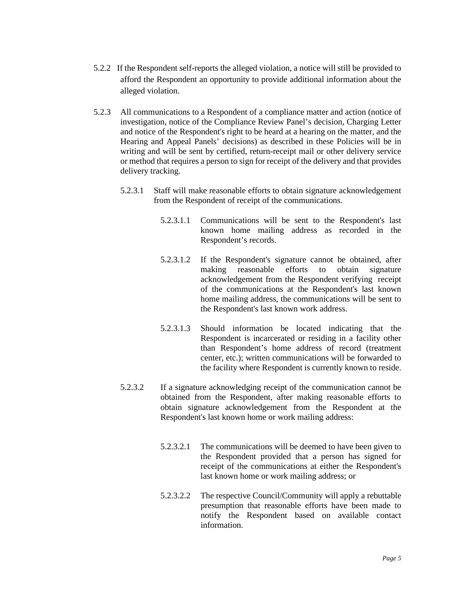- 5.2.2 If the Respondent self-reports the alleged violation, a notice will still be provided to afford the Respondent an opportunity to provide additional information about the alleged violation.
- 5.2.3 All communications to a Respondent of a compliance matter and action (notice of investigation, notice of the Compliance Review Panel's decision, Charging Letter and notice of the Respondent's right to be heard at a hearing on the matter, and the Hearing and Appeal Panels' decisions) as described in these Policies will be in writing and will be sent by certified, return-receipt mail or other delivery service or method that requires a person to sign for receipt of the delivery and that provides delivery tracking.
	- 5.2.3.1 Staff will make reasonable efforts to obtain signature acknowledgement from the Respondent of receipt of the communications.
		- 5.2.3.1.1 Communications will be sent to the Respondent's last known home mailing address as recorded in the Respondent's records.
		- 5.2.3.1.2 If the Respondent's signature cannot be obtained, after making reasonable efforts to obtain signature acknowledgement from the Respondent verifying receipt of the communications at the Respondent's last known home mailing address, the communications will be sent to the Respondent's last known work address.
		- 5.2.3.1.3 Should information be located indicating that the Respondent is incarcerated or residing in a facility other than Respondent's home address of record (treatment center, etc.); written communications will be forwarded to the facility where Respondent is currently known to reside.
	- 5.2.3.2 If a signature acknowledging receipt of the communication cannot be obtained from the Respondent, after making reasonable efforts to obtain signature acknowledgement from the Respondent at the Respondent's last known home or work mailing address:
		- 5.2.3.2.1 The communications will be deemed to have been given to the Respondent provided that a person has signed for receipt of the communications at either the Respondent's last known home or work mailing address; or
		- 5.2.3.2.2 The respective Council/Community will apply a rebuttable presumption that reasonable efforts have been made to notify the Respondent based on available contact information.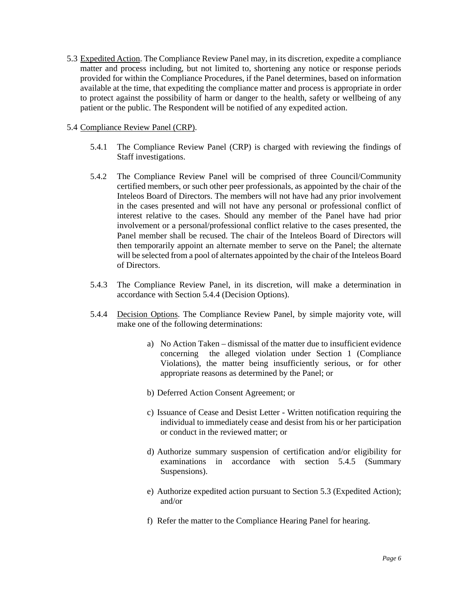5.3 Expedited Action. The Compliance Review Panel may, in its discretion, expedite a compliance matter and process including, but not limited to, shortening any notice or response periods provided for within the Compliance Procedures, if the Panel determines, based on information available at the time, that expediting the compliance matter and process is appropriate in order to protect against the possibility of harm or danger to the health, safety or wellbeing of any patient or the public. The Respondent will be notified of any expedited action.

#### 5.4 Compliance Review Panel (CRP).

- 5.4.1 The Compliance Review Panel (CRP) is charged with reviewing the findings of Staff investigations.
- 5.4.2 The Compliance Review Panel will be comprised of three Council/Community certified members, or such other peer professionals, as appointed by the chair of the Inteleos Board of Directors. The members will not have had any prior involvement in the cases presented and will not have any personal or professional conflict of interest relative to the cases. Should any member of the Panel have had prior involvement or a personal/professional conflict relative to the cases presented, the Panel member shall be recused. The chair of the Inteleos Board of Directors will then temporarily appoint an alternate member to serve on the Panel; the alternate will be selected from a pool of alternates appointed by the chair of the Inteleos Board of Directors.
- 5.4.3 The Compliance Review Panel, in its discretion, will make a determination in accordance with Section 5.4.4 (Decision Options).
- 5.4.4 Decision Options. The Compliance Review Panel, by simple majority vote, will make one of the following determinations:
	- a) No Action Taken dismissal of the matter due to insufficient evidence concerning the alleged violation under Section 1 (Compliance Violations), the matter being insufficiently serious, or for other appropriate reasons as determined by the Panel; or
	- b) Deferred Action Consent Agreement; or
	- c) Issuance of Cease and Desist Letter Written notification requiring the individual to immediately cease and desist from his or her participation or conduct in the reviewed matter; or
	- d) Authorize summary suspension of certification and/or eligibility for examinations in accordance with section 5.4.5 (Summary Suspensions).
	- e) Authorize expedited action pursuant to Section 5.3 (Expedited Action); and/or
	- f) Refer the matter to the Compliance Hearing Panel for hearing.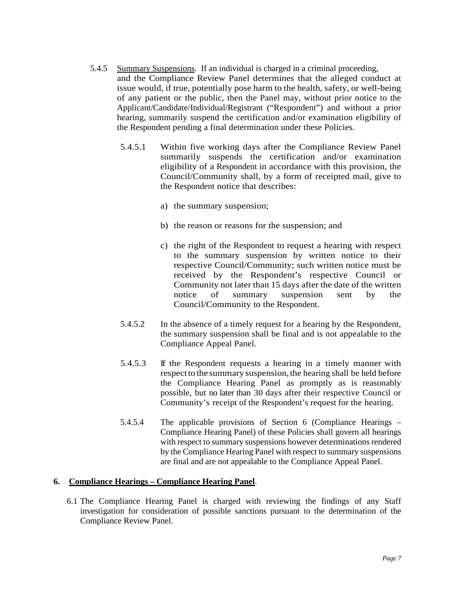- 5.4.5 Summary Suspensions. If an individual is charged in a criminal proceeding, and the Compliance Review Panel determines that the alleged conduct at issue would, if true, potentially pose harm to the health, safety, or well-being of any patient or the public, then the Panel may, without prior notice to the Applicant/Candidate/Individual/Registrant ("Respondent") and without a prior hearing, summarily suspend the certification and/or examination eligibility of the Respondent pending a final determination under these Policies.
	- 5.4.5.1 Within five working days after the Compliance Review Panel summarily suspends the certification and/or examination eligibility of a Respondent in accordance with this provision, the Council/Community shall, by a form of receipted mail, give to the Respondent notice that describes:
		- a) the summary suspension;
		- b) the reason or reasons for the suspension; and
		- c) the right of the Respondent to request a hearing with respect to the summary suspension by written notice to their respective Council/Community; such written notice must be received by the Respondent's respective Council or Community not later than 15 days after the date of the written notice of summary suspension sent by the Council/Community to the Respondent.
	- 5.4.5.2 In the absence of a timely request for a hearing by the Respondent, the summary suspension shall be final and is not appealable to the Compliance Appeal Panel.
	- 5.4.5.3 If the Respondent requests a hearing in a timely manner with respectto the summary suspension,the hearing shall be held before the Compliance Hearing Panel as promptly as is reasonably possible, but no later than 30 days after their respective Council or Community's receipt of the Respondent's request for the hearing.
	- 5.4.5.4 The applicable provisions of Section 6 (Compliance Hearings Compliance Hearing Panel) of these Policies shall govern all hearings with respect to summary suspensions however determinations rendered by the Compliance Hearing Panel with respect to summary suspensions are final and are not appealable to the Compliance Appeal Panel.

#### <span id="page-9-0"></span>**6. Compliance Hearings – Compliance Hearing Panel**.

6.1 The Compliance Hearing Panel is charged with reviewing the findings of any Staff investigation for consideration of possible sanctions pursuant to the determination of the Compliance Review Panel.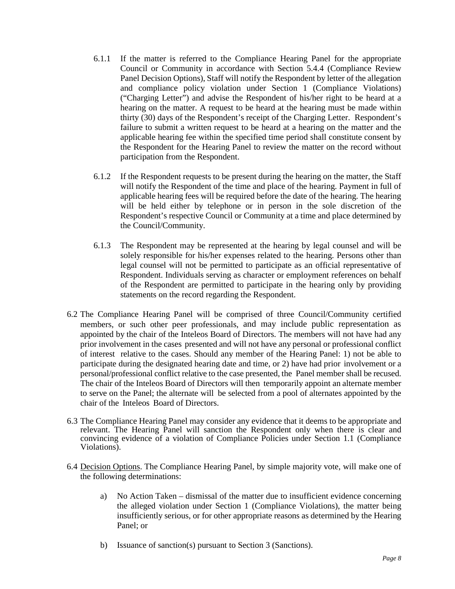- 6.1.1 If the matter is referred to the Compliance Hearing Panel for the appropriate Council or Community in accordance with Section 5.4.4 (Compliance Review Panel Decision Options), Staff will notify the Respondent by letter of the allegation and compliance policy violation under Section 1 (Compliance Violations) ("Charging Letter") and advise the Respondent of his/her right to be heard at a hearing on the matter. A request to be heard at the hearing must be made within thirty (30) days of the Respondent's receipt of the Charging Letter. Respondent's failure to submit a written request to be heard at a hearing on the matter and the applicable hearing fee within the specified time period shall constitute consent by the Respondent for the Hearing Panel to review the matter on the record without participation from the Respondent.
- 6.1.2 If the Respondent requests to be present during the hearing on the matter, the Staff will notify the Respondent of the time and place of the hearing. Payment in full of applicable hearing fees will be required before the date of the hearing. The hearing will be held either by telephone or in person in the sole discretion of the Respondent's respective Council or Community at a time and place determined by the Council/Community.
- 6.1.3 The Respondent may be represented at the hearing by legal counsel and will be solely responsible for his/her expenses related to the hearing. Persons other than legal counsel will not be permitted to participate as an official representative of Respondent. Individuals serving as character or employment references on behalf of the Respondent are permitted to participate in the hearing only by providing statements on the record regarding the Respondent.
- 6.2 The Compliance Hearing Panel will be comprised of three Council/Community certified members, or such other peer professionals, and may include public representation as appointed by the chair of the Inteleos Board of Directors. The members will not have had any prior involvement in the cases presented and will not have any personal or professional conflict of interest relative to the cases. Should any member of the Hearing Panel: 1) not be able to participate during the designated hearing date and time, or 2) have had prior involvement or a personal/professional conflict relative to the case presented, the Panel member shall be recused. The chair of the Inteleos Board of Directors will then temporarily appoint an alternate member to serve on the Panel; the alternate will be selected from a pool of alternates appointed by the chair of the Inteleos Board of Directors.
- 6.3 The Compliance Hearing Panel may consider any evidence that it deems to be appropriate and relevant. The Hearing Panel will sanction the Respondent only when there is clear and convincing evidence of a violation of Compliance Policies under Section 1.1 (Compliance Violations).
- 6.4 Decision Options. The Compliance Hearing Panel, by simple majority vote, will make one of the following determinations:
	- a) No Action Taken dismissal of the matter due to insufficient evidence concerning the alleged violation under Section 1 (Compliance Violations), the matter being insufficiently serious, or for other appropriate reasons as determined by the Hearing Panel; or
	- b) Issuance of sanction(s) pursuant to Section 3 (Sanctions).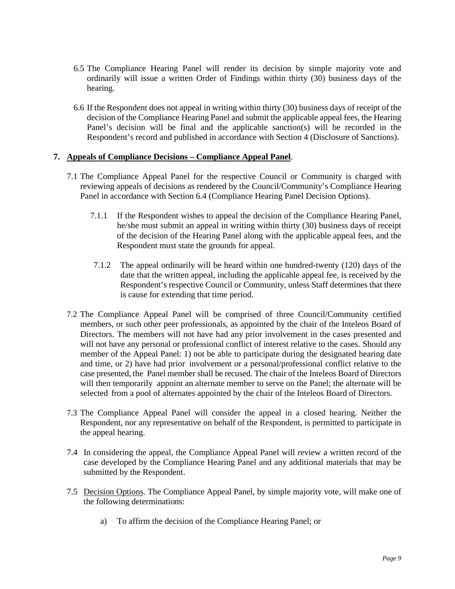- 6.5 The Compliance Hearing Panel will render its decision by simple majority vote and ordinarily will issue a written Order of Findings within thirty (30) business days of the hearing.
- 6.6 If the Respondent does not appeal in writing within thirty (30) business days of receipt of the decision of the Compliance Hearing Panel and submit the applicable appeal fees, the Hearing Panel's decision will be final and the applicable sanction(s) will be recorded in the Respondent's record and published in accordance with Section 4 (Disclosure of Sanctions).

#### <span id="page-11-0"></span>**7. Appeals of Compliance Decisions – Compliance Appeal Panel**.

- 7.1 The Compliance Appeal Panel for the respective Council or Community is charged with reviewing appeals of decisions as rendered by the Council/Community's Compliance Hearing Panel in accordance with Section 6.4 (Compliance Hearing Panel Decision Options).
	- 7.1.1 If the Respondent wishes to appeal the decision of the Compliance Hearing Panel, he/she must submit an appeal in writing within thirty (30) business days of receipt of the decision of the Hearing Panel along with the applicable appeal fees, and the Respondent must state the grounds for appeal.
	- 7.1.2 The appeal ordinarily will be heard within one hundred-twenty (120) days of the date that the written appeal, including the applicable appeal fee, is received by the Respondent's respective Council or Community, unless Staff determines that there is cause for extending that time period.
- 7.2 The Compliance Appeal Panel will be comprised of three Council/Community certified members, or such other peer professionals, as appointed by the chair of the Inteleos Board of Directors. The members will not have had any prior involvement in the cases presented and will not have any personal or professional conflict of interest relative to the cases. Should any member of the Appeal Panel: 1) not be able to participate during the designated hearing date and time, or 2) have had prior involvement or a personal/professional conflict relative to the case presented, the Panel member shall be recused. The chair of the Inteleos Board of Directors will then temporarily appoint an alternate member to serve on the Panel; the alternate will be selected from a pool of alternates appointed by the chair of the Inteleos Board of Directors.
- 7.3 The Compliance Appeal Panel will consider the appeal in a closed hearing. Neither the Respondent, nor any representative on behalf of the Respondent, is permitted to participate in the appeal hearing.
- 7.4 In considering the appeal, the Compliance Appeal Panel will review a written record of the case developed by the Compliance Hearing Panel and any additional materials that may be submitted by the Respondent.
- 7.5 Decision Options. The Compliance Appeal Panel, by simple majority vote, will make one of the following determinations:
	- a) To affirm the decision of the Compliance Hearing Panel; or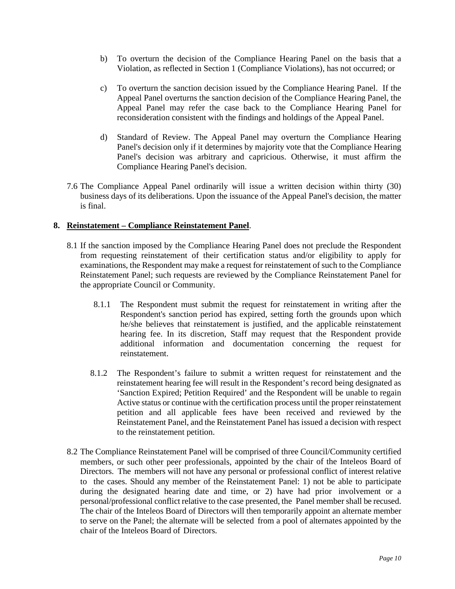- b) To overturn the decision of the Compliance Hearing Panel on the basis that a Violation, as reflected in Section 1 (Compliance Violations), has not occurred; or
- c) To overturn the sanction decision issued by the Compliance Hearing Panel. If the Appeal Panel overturns the sanction decision of the Compliance Hearing Panel, the Appeal Panel may refer the case back to the Compliance Hearing Panel for reconsideration consistent with the findings and holdings of the Appeal Panel.
- d) Standard of Review. The Appeal Panel may overturn the Compliance Hearing Panel's decision only if it determines by majority vote that the Compliance Hearing Panel's decision was arbitrary and capricious. Otherwise, it must affirm the Compliance Hearing Panel's decision.
- 7.6 The Compliance Appeal Panel ordinarily will issue a written decision within thirty (30) business days of its deliberations. Upon the issuance of the Appeal Panel's decision, the matter is final.

#### <span id="page-12-0"></span>**8. Reinstatement – Compliance Reinstatement Panel**.

- 8.1 If the sanction imposed by the Compliance Hearing Panel does not preclude the Respondent from requesting reinstatement of their certification status and/or eligibility to apply for examinations, the Respondent may make a request for reinstatement of such to the Compliance Reinstatement Panel; such requests are reviewed by the Compliance Reinstatement Panel for the appropriate Council or Community.
	- 8.1.1 The Respondent must submit the request for reinstatement in writing after the Respondent's sanction period has expired, setting forth the grounds upon which he/she believes that reinstatement is justified, and the applicable reinstatement hearing fee. In its discretion, Staff may request that the Respondent provide additional information and documentation concerning the request for reinstatement.
	- 8.1.2 The Respondent's failure to submit a written request for reinstatement and the reinstatement hearing fee will result in the Respondent's record being designated as 'Sanction Expired; Petition Required' and the Respondent will be unable to regain Active status or continue with the certification process until the proper reinstatement petition and all applicable fees have been received and reviewed by the Reinstatement Panel, and the Reinstatement Panel has issued a decision with respect to the reinstatement petition.
- 8.2 The Compliance Reinstatement Panel will be comprised of three Council/Community certified members, or such other peer professionals, appointed by the chair of the Inteleos Board of Directors. The members will not have any personal or professional conflict of interest relative to the cases. Should any member of the Reinstatement Panel: 1) not be able to participate during the designated hearing date and time, or 2) have had prior involvement or a personal/professional conflict relative to the case presented, the Panel member shall be recused. The chair of the Inteleos Board of Directors will then temporarily appoint an alternate member to serve on the Panel; the alternate will be selected from a pool of alternates appointed by the chair of the Inteleos Board of Directors.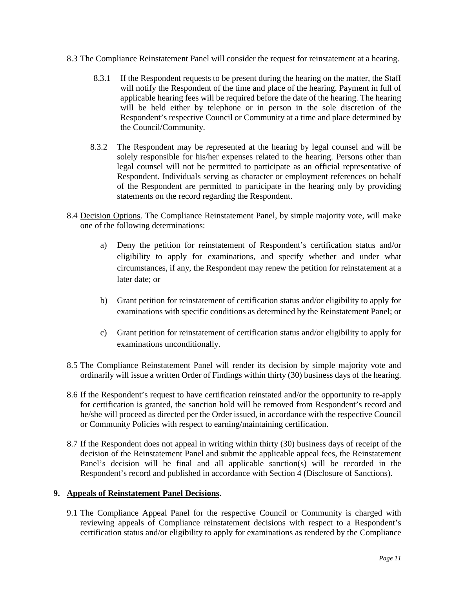- 8.3 The Compliance Reinstatement Panel will consider the request for reinstatement at a hearing.
	- 8.3.1 If the Respondent requests to be present during the hearing on the matter, the Staff will notify the Respondent of the time and place of the hearing. Payment in full of applicable hearing fees will be required before the date of the hearing. The hearing will be held either by telephone or in person in the sole discretion of the Respondent's respective Council or Community at a time and place determined by the Council/Community.
	- 8.3.2 The Respondent may be represented at the hearing by legal counsel and will be solely responsible for his/her expenses related to the hearing. Persons other than legal counsel will not be permitted to participate as an official representative of Respondent. Individuals serving as character or employment references on behalf of the Respondent are permitted to participate in the hearing only by providing statements on the record regarding the Respondent.
- 8.4 Decision Options. The Compliance Reinstatement Panel, by simple majority vote, will make one of the following determinations:
	- a) Deny the petition for reinstatement of Respondent's certification status and/or eligibility to apply for examinations, and specify whether and under what circumstances, if any, the Respondent may renew the petition for reinstatement at a later date; or
	- b) Grant petition for reinstatement of certification status and/or eligibility to apply for examinations with specific conditions as determined by the Reinstatement Panel; or
	- c) Grant petition for reinstatement of certification status and/or eligibility to apply for examinations unconditionally.
- 8.5 The Compliance Reinstatement Panel will render its decision by simple majority vote and ordinarily will issue a written Order of Findings within thirty (30) business days of the hearing.
- 8.6 If the Respondent's request to have certification reinstated and/or the opportunity to re-apply for certification is granted, the sanction hold will be removed from Respondent's record and he/she will proceed as directed per the Order issued, in accordance with the respective Council or Community Policies with respect to earning/maintaining certification.
- 8.7 If the Respondent does not appeal in writing within thirty (30) business days of receipt of the decision of the Reinstatement Panel and submit the applicable appeal fees, the Reinstatement Panel's decision will be final and all applicable sanction(s) will be recorded in the Respondent's record and published in accordance with Section 4 (Disclosure of Sanctions).

#### <span id="page-13-0"></span>**9. Appeals of Reinstatement Panel Decisions.**

9.1 The Compliance Appeal Panel for the respective Council or Community is charged with reviewing appeals of Compliance reinstatement decisions with respect to a Respondent's certification status and/or eligibility to apply for examinations as rendered by the Compliance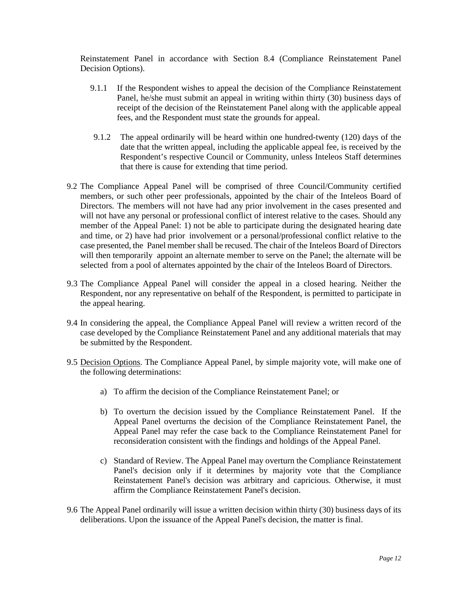Reinstatement Panel in accordance with Section 8.4 (Compliance Reinstatement Panel Decision Options).

- 9.1.1 If the Respondent wishes to appeal the decision of the Compliance Reinstatement Panel, he/she must submit an appeal in writing within thirty (30) business days of receipt of the decision of the Reinstatement Panel along with the applicable appeal fees, and the Respondent must state the grounds for appeal.
- 9.1.2 The appeal ordinarily will be heard within one hundred-twenty (120) days of the date that the written appeal, including the applicable appeal fee, is received by the Respondent's respective Council or Community, unless Inteleos Staff determines that there is cause for extending that time period.
- 9.2 The Compliance Appeal Panel will be comprised of three Council/Community certified members, or such other peer professionals, appointed by the chair of the Inteleos Board of Directors. The members will not have had any prior involvement in the cases presented and will not have any personal or professional conflict of interest relative to the cases. Should any member of the Appeal Panel: 1) not be able to participate during the designated hearing date and time, or 2) have had prior involvement or a personal/professional conflict relative to the case presented, the Panel member shall be recused. The chair of the Inteleos Board of Directors will then temporarily appoint an alternate member to serve on the Panel; the alternate will be selected from a pool of alternates appointed by the chair of the Inteleos Board of Directors.
- 9.3 The Compliance Appeal Panel will consider the appeal in a closed hearing. Neither the Respondent, nor any representative on behalf of the Respondent, is permitted to participate in the appeal hearing.
- 9.4 In considering the appeal, the Compliance Appeal Panel will review a written record of the case developed by the Compliance Reinstatement Panel and any additional materials that may be submitted by the Respondent.
- 9.5 Decision Options. The Compliance Appeal Panel, by simple majority vote, will make one of the following determinations:
	- a) To affirm the decision of the Compliance Reinstatement Panel; or
	- b) To overturn the decision issued by the Compliance Reinstatement Panel. If the Appeal Panel overturns the decision of the Compliance Reinstatement Panel, the Appeal Panel may refer the case back to the Compliance Reinstatement Panel for reconsideration consistent with the findings and holdings of the Appeal Panel.
	- c) Standard of Review. The Appeal Panel may overturn the Compliance Reinstatement Panel's decision only if it determines by majority vote that the Compliance Reinstatement Panel's decision was arbitrary and capricious. Otherwise, it must affirm the Compliance Reinstatement Panel's decision.
- 9.6 The Appeal Panel ordinarily will issue a written decision within thirty (30) business days of its deliberations. Upon the issuance of the Appeal Panel's decision, the matter is final.